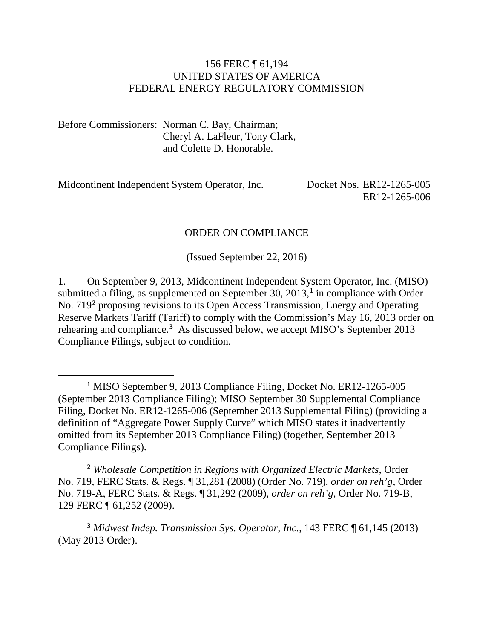#### 156 FERC ¶ 61,194 UNITED STATES OF AMERICA FEDERAL ENERGY REGULATORY COMMISSION

Before Commissioners: Norman C. Bay, Chairman; Cheryl A. LaFleur, Tony Clark, and Colette D. Honorable.

Midcontinent Independent System Operator, Inc. Docket Nos. ER12-1265-005

 $\overline{a}$ 

ER12-1265-006

#### ORDER ON COMPLIANCE

(Issued September 22, 2016)

1. On September 9, 2013, Midcontinent Independent System Operator, Inc. (MISO) submitted a filing, as supplemented on September 30, 2013,**[1](#page-0-0)** in compliance with Order No. 719**[2](#page-0-1)** proposing revisions to its Open Access Transmission, Energy and Operating Reserve Markets Tariff (Tariff) to comply with the Commission's May 16, 2013 order on rehearing and compliance.**[3](#page-0-2)** As discussed below, we accept MISO's September 2013 Compliance Filings, subject to condition.

<span id="page-0-1"></span>**<sup>2</sup>** *Wholesale Competition in Regions with Organized Electric Markets*, Order No. 719, FERC Stats. & Regs. ¶ 31,281 (2008) (Order No. 719), *order on reh'g*, Order No. 719-A, FERC Stats. & Regs. ¶ 31,292 (2009), *order on reh'g*, Order No. 719-B, 129 FERC ¶ 61,252 (2009).

<span id="page-0-2"></span>**<sup>3</sup>** *Midwest Indep. Transmission Sys. Operator, Inc.*, 143 FERC ¶ 61,145 (2013) (May 2013 Order).

<span id="page-0-0"></span>**<sup>1</sup>** MISO September 9, 2013 Compliance Filing, Docket No. ER12-1265-005 (September 2013 Compliance Filing); MISO September 30 Supplemental Compliance Filing, Docket No. ER12-1265-006 (September 2013 Supplemental Filing) (providing a definition of "Aggregate Power Supply Curve" which MISO states it inadvertently omitted from its September 2013 Compliance Filing) (together, September 2013 Compliance Filings).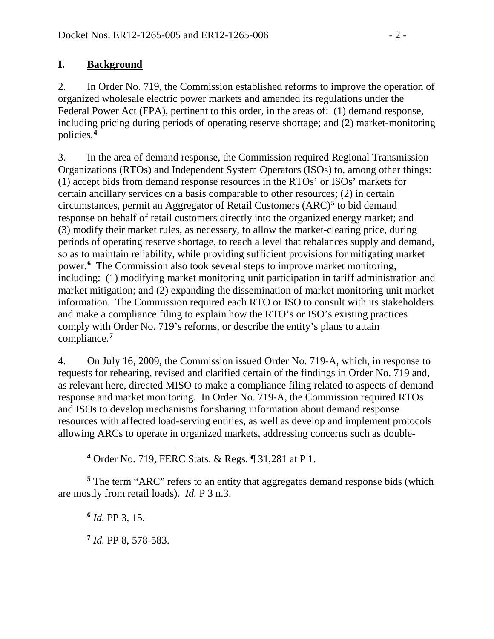# **I. Background**

2. In Order No. 719, the Commission established reforms to improve the operation of organized wholesale electric power markets and amended its regulations under the Federal Power Act (FPA), pertinent to this order, in the areas of: (1) demand response, including pricing during periods of operating reserve shortage; and (2) market-monitoring policies.**[4](#page-1-0)**

3. In the area of demand response, the Commission required Regional Transmission Organizations (RTOs) and Independent System Operators (ISOs) to, among other things: (1) accept bids from demand response resources in the RTOs' or ISOs' markets for certain ancillary services on a basis comparable to other resources; (2) in certain circumstances, permit an Aggregator of Retail Customers (ARC)**[5](#page-1-1)** to bid demand response on behalf of retail customers directly into the organized energy market; and (3) modify their market rules, as necessary, to allow the market-clearing price, during periods of operating reserve shortage, to reach a level that rebalances supply and demand, so as to maintain reliability, while providing sufficient provisions for mitigating market power.**[6](#page-1-2)** The Commission also took several steps to improve market monitoring, including: (1) modifying market monitoring unit participation in tariff administration and market mitigation; and (2) expanding the dissemination of market monitoring unit market information. The Commission required each RTO or ISO to consult with its stakeholders and make a compliance filing to explain how the RTO's or ISO's existing practices comply with Order No. 719's reforms, or describe the entity's plans to attain compliance.**[7](#page-1-3)**

4. On July 16, 2009, the Commission issued Order No. 719-A, which, in response to requests for rehearing, revised and clarified certain of the findings in Order No. 719 and, as relevant here, directed MISO to make a compliance filing related to aspects of demand response and market monitoring. In Order No. 719-A, the Commission required RTOs and ISOs to develop mechanisms for sharing information about demand response resources with affected load-serving entities, as well as develop and implement protocols allowing ARCs to operate in organized markets, addressing concerns such as double-

**<sup>4</sup>** Order No. 719, FERC Stats. & Regs. ¶ 31,281 at P 1.

<span id="page-1-3"></span><span id="page-1-2"></span><span id="page-1-1"></span>**<sup>5</sup>** The term "ARC" refers to an entity that aggregates demand response bids (which are mostly from retail loads). *Id.* P 3 n.3.

**<sup>6</sup>** *Id.* PP 3, 15.

<span id="page-1-0"></span> $\overline{a}$ 

**<sup>7</sup>** *Id.* PP 8, 578-583.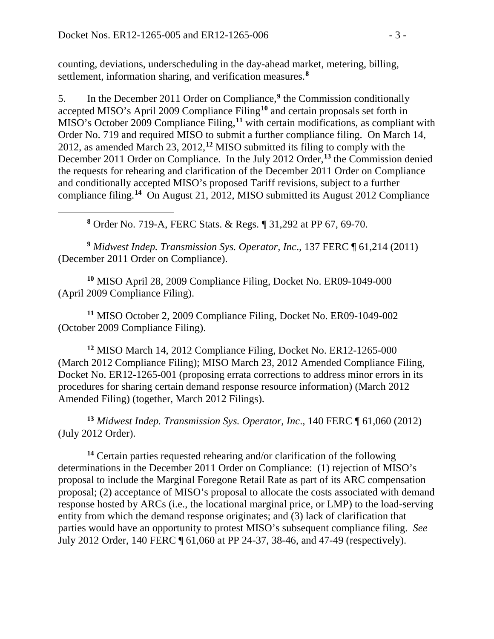<span id="page-2-0"></span> $\overline{a}$ 

counting, deviations, underscheduling in the day-ahead market, metering, billing, settlement, information sharing, and verification measures.**[8](#page-2-0)**

5. In the December 2011 Order on Compliance,**[9](#page-2-1)** the Commission conditionally accepted MISO's April 2009 Compliance Filing**[10](#page-2-2)** and certain proposals set forth in MISO's October 2009 Compliance Filing,**[11](#page-2-3)** with certain modifications, as compliant with Order No. 719 and required MISO to submit a further compliance filing. On March 14, 2012, as amended March 23, 2012,**[12](#page-2-4)** MISO submitted its filing to comply with the December 2011 Order on Compliance. In the July 2012 Order,**[13](#page-2-5)** the Commission denied the requests for rehearing and clarification of the December 2011 Order on Compliance and conditionally accepted MISO's proposed Tariff revisions, subject to a further compliance filing. **[14](#page-2-6)** On August 21, 2012, MISO submitted its August 2012 Compliance

**<sup>8</sup>** Order No. 719-A, FERC Stats. & Regs. ¶ 31,292 at PP 67, 69-70.

<span id="page-2-1"></span>**<sup>9</sup>** *Midwest Indep. Transmission Sys. Operator, Inc*., 137 FERC ¶ 61,214 (2011) (December 2011 Order on Compliance).

<span id="page-2-2"></span>**<sup>10</sup>** MISO April 28, 2009 Compliance Filing, Docket No. ER09-1049-000 (April 2009 Compliance Filing).

<span id="page-2-3"></span>**<sup>11</sup>** MISO October 2, 2009 Compliance Filing, Docket No. ER09-1049-002 (October 2009 Compliance Filing).

<span id="page-2-4"></span>**<sup>12</sup>** MISO March 14, 2012 Compliance Filing, Docket No. ER12-1265-000 (March 2012 Compliance Filing); MISO March 23, 2012 Amended Compliance Filing, Docket No. ER12-1265-001 (proposing errata corrections to address minor errors in its procedures for sharing certain demand response resource information) (March 2012 Amended Filing) (together, March 2012 Filings).

<span id="page-2-5"></span>**<sup>13</sup>** *Midwest Indep. Transmission Sys. Operator, Inc*., 140 FERC ¶ 61,060 (2012) (July 2012 Order).

<span id="page-2-6"></span>**<sup>14</sup>** Certain parties requested rehearing and/or clarification of the following determinations in the December 2011 Order on Compliance: (1) rejection of MISO's proposal to include the Marginal Foregone Retail Rate as part of its ARC compensation proposal; (2) acceptance of MISO's proposal to allocate the costs associated with demand response hosted by ARCs (i.e., the locational marginal price, or LMP) to the load-serving entity from which the demand response originates; and (3) lack of clarification that parties would have an opportunity to protest MISO's subsequent compliance filing. *See*  July 2012 Order, 140 FERC ¶ 61,060 at PP 24-37, 38-46, and 47-49 (respectively).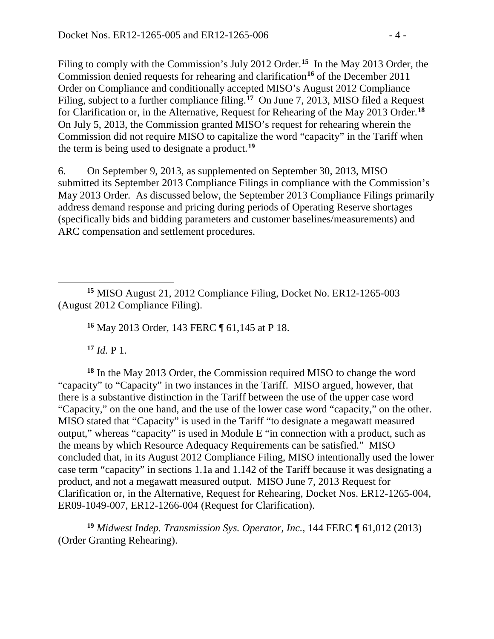Filing to comply with the Commission's July 2012 Order. **[15](#page-3-0)** In the May 2013 Order, the Commission denied requests for rehearing and clarification**[16](#page-3-1)** of the December 2011 Order on Compliance and conditionally accepted MISO's August 2012 Compliance Filing, subject to a further compliance filing.<sup>[17](#page-3-2)</sup> On June 7, 2013, MISO filed a Request for Clarification or, in the Alternative, Request for Rehearing of the May 2013 Order. **[18](#page-3-3)** On July 5, 2013, the Commission granted MISO's request for rehearing wherein the Commission did not require MISO to capitalize the word "capacity" in the Tariff when the term is being used to designate a product.**[19](#page-3-4)**

6. On September 9, 2013, as supplemented on September 30, 2013, MISO submitted its September 2013 Compliance Filings in compliance with the Commission's May 2013 Order. As discussed below, the September 2013 Compliance Filings primarily address demand response and pricing during periods of Operating Reserve shortages (specifically bids and bidding parameters and customer baselines/measurements) and ARC compensation and settlement procedures.

<span id="page-3-1"></span><span id="page-3-0"></span> $\overline{a}$ **<sup>15</sup>** MISO August 21, 2012 Compliance Filing, Docket No. ER12-1265-003 (August 2012 Compliance Filing).

**<sup>16</sup>** May 2013 Order, 143 FERC ¶ 61,145 at P 18.

 $17$  *Id.* P 1.

<span id="page-3-3"></span><span id="page-3-2"></span>**<sup>18</sup>** In the May 2013 Order, the Commission required MISO to change the word "capacity" to "Capacity" in two instances in the Tariff. MISO argued, however, that there is a substantive distinction in the Tariff between the use of the upper case word "Capacity," on the one hand, and the use of the lower case word "capacity," on the other. MISO stated that "Capacity" is used in the Tariff "to designate a megawatt measured output," whereas "capacity" is used in Module E "in connection with a product, such as the means by which Resource Adequacy Requirements can be satisfied." MISO concluded that, in its August 2012 Compliance Filing, MISO intentionally used the lower case term "capacity" in sections 1.1a and 1.142 of the Tariff because it was designating a product, and not a megawatt measured output. MISO June 7, 2013 Request for Clarification or, in the Alternative, Request for Rehearing, Docket Nos. ER12-1265-004, ER09-1049-007, ER12-1266-004 (Request for Clarification).

<span id="page-3-4"></span>**<sup>19</sup>** *Midwest Indep. Transmission Sys. Operator, Inc.*, 144 FERC ¶ 61,012 (2013) (Order Granting Rehearing).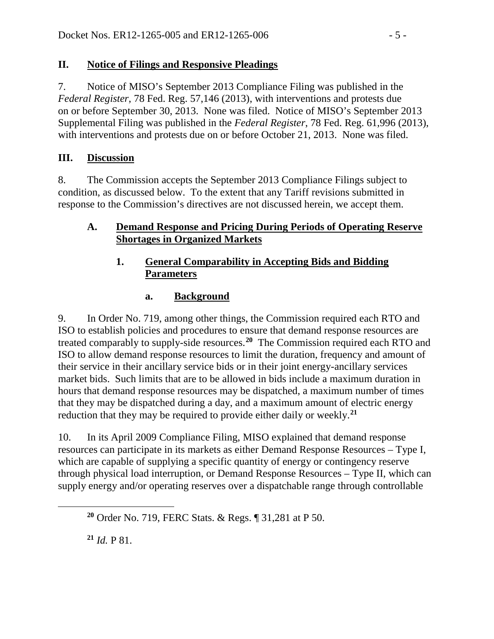# **II. Notice of Filings and Responsive Pleadings**

7. Notice of MISO's September 2013 Compliance Filing was published in the *Federal Register*, 78 Fed. Reg. 57,146 (2013), with interventions and protests due on or before September 30, 2013. None was filed. Notice of MISO's September 2013 Supplemental Filing was published in the *Federal Register*, 78 Fed. Reg. 61,996 (2013), with interventions and protests due on or before October 21, 2013. None was filed.

# **III. Discussion**

8. The Commission accepts the September 2013 Compliance Filings subject to condition, as discussed below. To the extent that any Tariff revisions submitted in response to the Commission's directives are not discussed herein, we accept them.

# **A. Demand Response and Pricing During Periods of Operating Reserve Shortages in Organized Markets**

# **1. General Comparability in Accepting Bids and Bidding Parameters**

# **a. Background**

9. In Order No. 719, among other things, the Commission required each RTO and ISO to establish policies and procedures to ensure that demand response resources are treated comparably to supply-side resources.**[20](#page-4-0)** The Commission required each RTO and ISO to allow demand response resources to limit the duration, frequency and amount of their service in their ancillary service bids or in their joint energy-ancillary services market bids. Such limits that are to be allowed in bids include a maximum duration in hours that demand response resources may be dispatched, a maximum number of times that they may be dispatched during a day, and a maximum amount of electric energy reduction that they may be required to provide either daily or weekly.**[21](#page-4-1)**

10. In its April 2009 Compliance Filing, MISO explained that demand response resources can participate in its markets as either Demand Response Resources – Type I, which are capable of supplying a specific quantity of energy or contingency reserve through physical load interruption, or Demand Response Resources – Type II, which can supply energy and/or operating reserves over a dispatchable range through controllable

**<sup>21</sup>** *Id.* P 81.

<span id="page-4-1"></span><span id="page-4-0"></span> $\overline{a}$ 

**<sup>20</sup>** Order No. 719, FERC Stats. & Regs. ¶ 31,281 at P 50.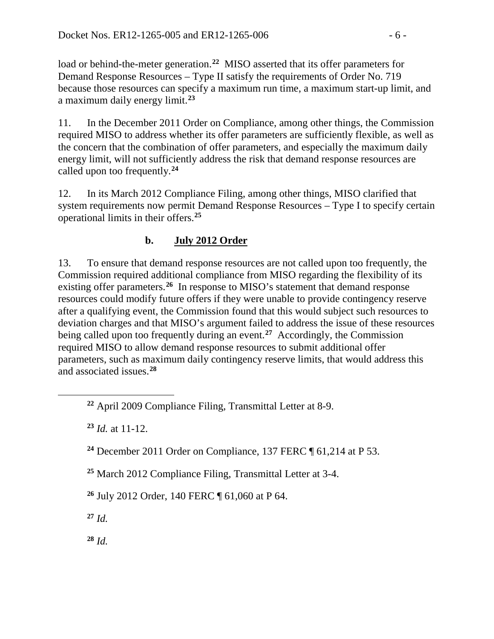load or behind-the-meter generation.<sup>[22](#page-5-0)</sup> MISO asserted that its offer parameters for Demand Response Resources – Type II satisfy the requirements of Order No. 719 because those resources can specify a maximum run time, a maximum start-up limit, and a maximum daily energy limit.**[23](#page-5-1)**

11. In the December 2011 Order on Compliance, among other things, the Commission required MISO to address whether its offer parameters are sufficiently flexible, as well as the concern that the combination of offer parameters, and especially the maximum daily energy limit, will not sufficiently address the risk that demand response resources are called upon too frequently.**[24](#page-5-2)**

12. In its March 2012 Compliance Filing, among other things, MISO clarified that system requirements now permit Demand Response Resources – Type I to specify certain operational limits in their offers.**[25](#page-5-3)**

# **b. July 2012 Order**

13. To ensure that demand response resources are not called upon too frequently, the Commission required additional compliance from MISO regarding the flexibility of its existing offer parameters.**[26](#page-5-4)** In response to MISO's statement that demand response resources could modify future offers if they were unable to provide contingency reserve after a qualifying event, the Commission found that this would subject such resources to deviation charges and that MISO's argument failed to address the issue of these resources being called upon too frequently during an event.**[27](#page-5-5)** Accordingly, the Commission required MISO to allow demand response resources to submit additional offer parameters, such as maximum daily contingency reserve limits, that would address this and associated issues.**[28](#page-5-6)**

<span id="page-5-4"></span>**<sup>26</sup>** July 2012 Order, 140 FERC ¶ 61,060 at P 64.

<span id="page-5-5"></span>**<sup>27</sup>** *Id.*

<span id="page-5-2"></span><span id="page-5-1"></span><span id="page-5-0"></span> $\overline{a}$ 

<span id="page-5-6"></span>**<sup>28</sup>** *Id.*

**<sup>22</sup>** April 2009 Compliance Filing, Transmittal Letter at 8-9.

**<sup>23</sup>** *Id.* at 11-12.

**<sup>24</sup>** December 2011 Order on Compliance, 137 FERC ¶ 61,214 at P 53.

<span id="page-5-3"></span>**<sup>25</sup>** March 2012 Compliance Filing, Transmittal Letter at 3-4.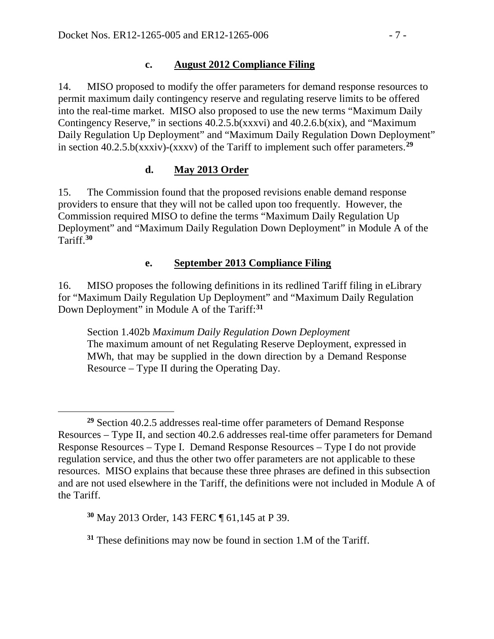### **c. August 2012 Compliance Filing**

14. MISO proposed to modify the offer parameters for demand response resources to permit maximum daily contingency reserve and regulating reserve limits to be offered into the real-time market. MISO also proposed to use the new terms "Maximum Daily Contingency Reserve," in sections  $40.2.5$ .b(xxxvi) and  $40.2.6$ .b(xix), and "Maximum Daily Regulation Up Deployment" and "Maximum Daily Regulation Down Deployment" in section 40.2.5.b(xxxiv)-(xxxv) of the Tariff to implement such offer parameters.**[29](#page-6-0)**

# **d. May 2013 Order**

15. The Commission found that the proposed revisions enable demand response providers to ensure that they will not be called upon too frequently. However, the Commission required MISO to define the terms "Maximum Daily Regulation Up Deployment" and "Maximum Daily Regulation Down Deployment" in Module A of the Tariff.**[30](#page-6-1)**

### **e. September 2013 Compliance Filing**

16. MISO proposes the following definitions in its redlined Tariff filing in eLibrary for "Maximum Daily Regulation Up Deployment" and "Maximum Daily Regulation Down Deployment" in Module A of the Tariff:**[31](#page-6-2)**

Section 1.402b *Maximum Daily Regulation Down Deployment* The maximum amount of net Regulating Reserve Deployment, expressed in MWh, that may be supplied in the down direction by a Demand Response Resource – Type II during the Operating Day.

<span id="page-6-0"></span> $\overline{a}$ **<sup>29</sup>** Section 40.2.5 addresses real-time offer parameters of Demand Response Resources – Type II, and section 40.2.6 addresses real-time offer parameters for Demand Response Resources – Type I. Demand Response Resources – Type I do not provide regulation service, and thus the other two offer parameters are not applicable to these resources. MISO explains that because these three phrases are defined in this subsection and are not used elsewhere in the Tariff, the definitions were not included in Module A of the Tariff.

<span id="page-6-1"></span>**<sup>30</sup>** May 2013 Order, 143 FERC ¶ 61,145 at P 39.

<span id="page-6-2"></span>**<sup>31</sup>** These definitions may now be found in section 1.M of the Tariff.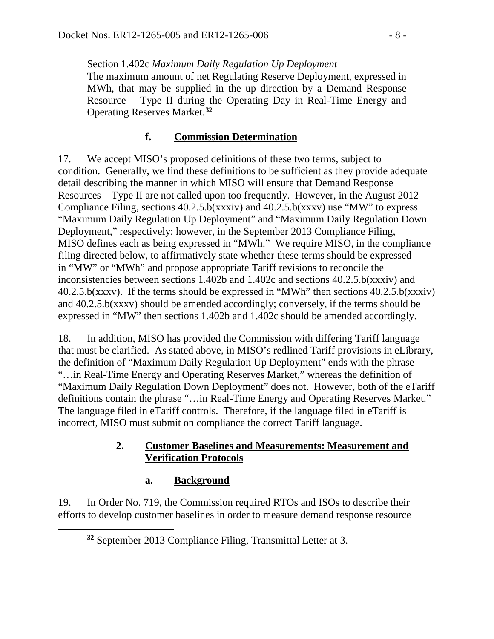Section 1.402c *Maximum Daily Regulation Up Deployment* The maximum amount of net Regulating Reserve Deployment, expressed in MWh, that may be supplied in the up direction by a Demand Response Resource – Type II during the Operating Day in Real-Time Energy and Operating Reserves Market.**[32](#page-7-0)**

# **f. Commission Determination**

17. We accept MISO's proposed definitions of these two terms, subject to condition. Generally, we find these definitions to be sufficient as they provide adequate detail describing the manner in which MISO will ensure that Demand Response Resources – Type II are not called upon too frequently. However, in the August 2012 Compliance Filing, sections  $40.2.5$ .b(xxxiv) and  $40.2.5$ .b(xxxv) use "MW" to express "Maximum Daily Regulation Up Deployment" and "Maximum Daily Regulation Down Deployment," respectively; however, in the September 2013 Compliance Filing, MISO defines each as being expressed in "MWh." We require MISO, in the compliance filing directed below, to affirmatively state whether these terms should be expressed in "MW" or "MWh" and propose appropriate Tariff revisions to reconcile the inconsistencies between sections 1.402b and 1.402c and sections 40.2.5.b(xxxiv) and 40.2.5.b(xxxv). If the terms should be expressed in "MWh" then sections 40.2.5.b(xxxiv) and 40.2.5.b(xxxv) should be amended accordingly; conversely, if the terms should be expressed in "MW" then sections 1.402b and 1.402c should be amended accordingly.

18. In addition, MISO has provided the Commission with differing Tariff language that must be clarified. As stated above, in MISO's redlined Tariff provisions in eLibrary, the definition of "Maximum Daily Regulation Up Deployment" ends with the phrase "…in Real-Time Energy and Operating Reserves Market," whereas the definition of "Maximum Daily Regulation Down Deployment" does not. However, both of the eTariff definitions contain the phrase "…in Real-Time Energy and Operating Reserves Market." The language filed in eTariff controls. Therefore, if the language filed in eTariff is incorrect, MISO must submit on compliance the correct Tariff language.

### **2. Customer Baselines and Measurements: Measurement and Verification Protocols**

### **a. Background**

<span id="page-7-0"></span> $\overline{a}$ 

19. In Order No. 719, the Commission required RTOs and ISOs to describe their efforts to develop customer baselines in order to measure demand response resource

**<sup>32</sup>** September 2013 Compliance Filing, Transmittal Letter at 3.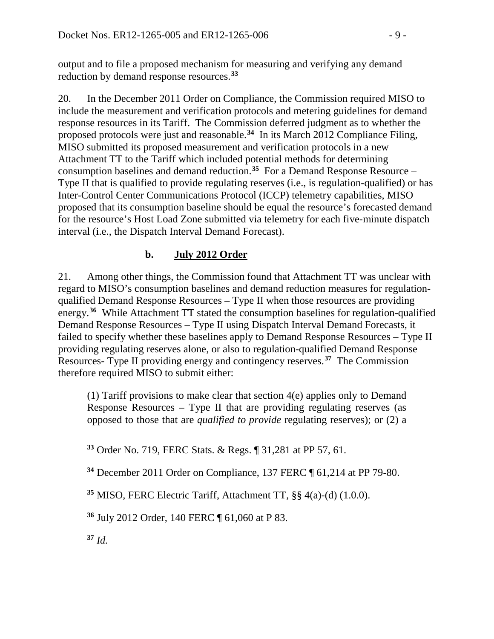output and to file a proposed mechanism for measuring and verifying any demand reduction by demand response resources.**[33](#page-8-0)**

20. In the December 2011 Order on Compliance, the Commission required MISO to include the measurement and verification protocols and metering guidelines for demand response resources in its Tariff. The Commission deferred judgment as to whether the proposed protocols were just and reasonable.**[34](#page-8-1)** In its March 2012 Compliance Filing, MISO submitted its proposed measurement and verification protocols in a new Attachment TT to the Tariff which included potential methods for determining consumption baselines and demand reduction.**[35](#page-8-2)** For a Demand Response Resource – Type II that is qualified to provide regulating reserves (i.e., is regulation-qualified) or has Inter-Control Center Communications Protocol (ICCP) telemetry capabilities, MISO proposed that its consumption baseline should be equal the resource's forecasted demand for the resource's Host Load Zone submitted via telemetry for each five-minute dispatch interval (i.e., the Dispatch Interval Demand Forecast).

# **b. July 2012 Order**

21. Among other things, the Commission found that Attachment TT was unclear with regard to MISO's consumption baselines and demand reduction measures for regulationqualified Demand Response Resources – Type II when those resources are providing energy.**[36](#page-8-3)** While Attachment TT stated the consumption baselines for regulation-qualified Demand Response Resources – Type II using Dispatch Interval Demand Forecasts, it failed to specify whether these baselines apply to Demand Response Resources – Type II providing regulating reserves alone, or also to regulation-qualified Demand Response Resources- Type II providing energy and contingency reserves.**[37](#page-8-4)** The Commission therefore required MISO to submit either:

(1) Tariff provisions to make clear that section 4(e) applies only to Demand Response Resources – Type II that are providing regulating reserves (as opposed to those that are *qualified to provide* regulating reserves); or (2) a

**<sup>33</sup>** Order No. 719, FERC Stats. & Regs. ¶ 31,281 at PP 57, 61.

**<sup>34</sup>** December 2011 Order on Compliance, 137 FERC ¶ 61,214 at PP 79-80.

**<sup>35</sup>** MISO, FERC Electric Tariff, Attachment TT*,* §§ 4(a)-(d) (1.0.0).

<span id="page-8-3"></span>**<sup>36</sup>** July 2012 Order, 140 FERC ¶ 61,060 at P 83.

<span id="page-8-4"></span>**<sup>37</sup>** *Id.*

<span id="page-8-2"></span><span id="page-8-1"></span><span id="page-8-0"></span> $\overline{a}$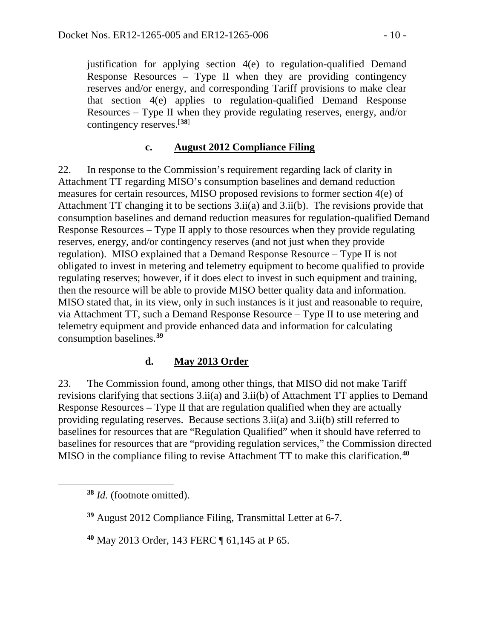justification for applying section 4(e) to regulation-qualified Demand Response Resources – Type II when they are providing contingency reserves and/or energy, and corresponding Tariff provisions to make clear that section 4(e) applies to regulation-qualified Demand Response Resources – Type II when they provide regulating reserves, energy, and/or contingency reserves.[**[38](#page-9-0)**]

### **c. August 2012 Compliance Filing**

22. In response to the Commission's requirement regarding lack of clarity in Attachment TT regarding MISO's consumption baselines and demand reduction measures for certain resources, MISO proposed revisions to former section 4(e) of Attachment TT changing it to be sections 3.ii(a) and 3.ii(b). The revisions provide that consumption baselines and demand reduction measures for regulation-qualified Demand Response Resources – Type II apply to those resources when they provide regulating reserves, energy, and/or contingency reserves (and not just when they provide regulation). MISO explained that a Demand Response Resource – Type II is not obligated to invest in metering and telemetry equipment to become qualified to provide regulating reserves; however, if it does elect to invest in such equipment and training, then the resource will be able to provide MISO better quality data and information. MISO stated that, in its view, only in such instances is it just and reasonable to require, via Attachment TT, such a Demand Response Resource – Type II to use metering and telemetry equipment and provide enhanced data and information for calculating consumption baselines.**[39](#page-9-1)**

#### **d. May 2013 Order**

23. The Commission found, among other things, that MISO did not make Tariff revisions clarifying that sections 3.ii(a) and 3.ii(b) of Attachment TT applies to Demand Response Resources – Type II that are regulation qualified when they are actually providing regulating reserves. Because sections 3.ii(a) and 3.ii(b) still referred to baselines for resources that are "Regulation Qualified" when it should have referred to baselines for resources that are "providing regulation services," the Commission directed MISO in the compliance filing to revise Attachment TT to make this clarification.**[40](#page-9-2)**

<span id="page-9-2"></span><span id="page-9-1"></span><span id="page-9-0"></span> $\overline{a}$ 

**<sup>40</sup>** May 2013 Order, 143 FERC ¶ 61,145 at P 65.

**<sup>38</sup>** *Id.* (footnote omitted).

**<sup>39</sup>** August 2012 Compliance Filing, Transmittal Letter at 6-7.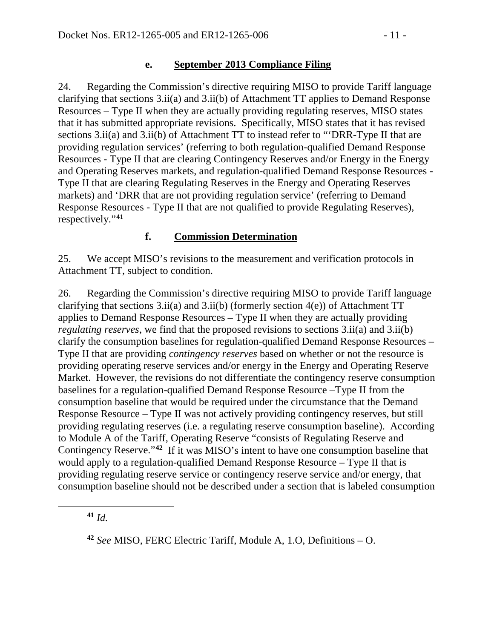### **e. September 2013 Compliance Filing**

24. Regarding the Commission's directive requiring MISO to provide Tariff language clarifying that sections 3.ii(a) and 3.ii(b) of Attachment TT applies to Demand Response Resources – Type II when they are actually providing regulating reserves, MISO states that it has submitted appropriate revisions. Specifically, MISO states that it has revised sections  $3.ii(a)$  and  $3.ii(b)$  of Attachment TT to instead refer to "DRR-Type II that are providing regulation services' (referring to both regulation-qualified Demand Response Resources - Type II that are clearing Contingency Reserves and/or Energy in the Energy and Operating Reserves markets, and regulation-qualified Demand Response Resources - Type II that are clearing Regulating Reserves in the Energy and Operating Reserves markets) and 'DRR that are not providing regulation service' (referring to Demand Response Resources - Type II that are not qualified to provide Regulating Reserves), respectively."**[41](#page-10-0)**

### **f. Commission Determination**

25. We accept MISO's revisions to the measurement and verification protocols in Attachment TT, subject to condition.

26. Regarding the Commission's directive requiring MISO to provide Tariff language clarifying that sections  $3.ii(a)$  and  $3.ii(b)$  (formerly section  $4(e)$ ) of Attachment TT applies to Demand Response Resources – Type II when they are actually providing *regulating reserves*, we find that the proposed revisions to sections 3.ii(a) and 3.ii(b) clarify the consumption baselines for regulation-qualified Demand Response Resources – Type II that are providing *contingency reserves* based on whether or not the resource is providing operating reserve services and/or energy in the Energy and Operating Reserve Market. However, the revisions do not differentiate the contingency reserve consumption baselines for a regulation-qualified Demand Response Resource –Type II from the consumption baseline that would be required under the circumstance that the Demand Response Resource – Type II was not actively providing contingency reserves, but still providing regulating reserves (i.e. a regulating reserve consumption baseline). According to Module A of the Tariff, Operating Reserve "consists of Regulating Reserve and Contingency Reserve."**[42](#page-10-1)** If it was MISO's intent to have one consumption baseline that would apply to a regulation-qualified Demand Response Resource – Type II that is providing regulating reserve service or contingency reserve service and/or energy, that consumption baseline should not be described under a section that is labeled consumption

**<sup>41</sup>** *Id.*

<span id="page-10-1"></span><span id="page-10-0"></span> $\overline{a}$ 

**<sup>42</sup>** *See* MISO, FERC Electric Tariff, Module A, 1.O, Definitions – O.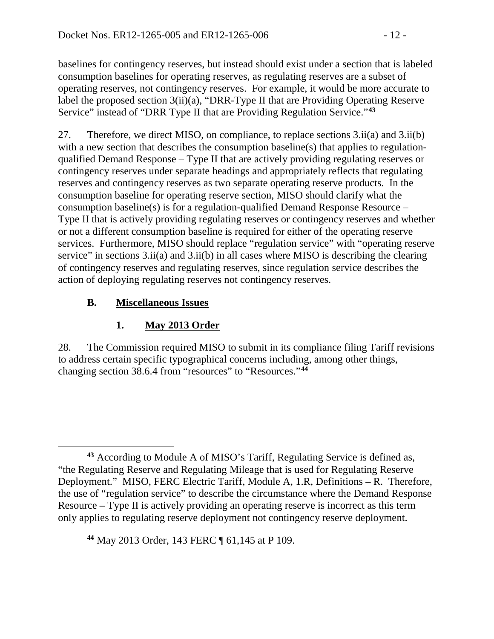baselines for contingency reserves, but instead should exist under a section that is labeled consumption baselines for operating reserves, as regulating reserves are a subset of operating reserves, not contingency reserves. For example, it would be more accurate to label the proposed section 3(ii)(a), "DRR-Type II that are Providing Operating Reserve Service" instead of "DRR Type II that are Providing Regulation Service."**[43](#page-11-0)**

27. Therefore, we direct MISO, on compliance, to replace sections 3.ii(a) and 3.ii(b) with a new section that describes the consumption baseline(s) that applies to regulationqualified Demand Response – Type II that are actively providing regulating reserves or contingency reserves under separate headings and appropriately reflects that regulating reserves and contingency reserves as two separate operating reserve products. In the consumption baseline for operating reserve section, MISO should clarify what the consumption baseline(s) is for a regulation-qualified Demand Response Resource – Type II that is actively providing regulating reserves or contingency reserves and whether or not a different consumption baseline is required for either of the operating reserve services. Furthermore, MISO should replace "regulation service" with "operating reserve service" in sections 3.ii(a) and 3.ii(b) in all cases where MISO is describing the clearing of contingency reserves and regulating reserves, since regulation service describes the action of deploying regulating reserves not contingency reserves.

# **B. Miscellaneous Issues**

# **1. May 2013 Order**

28. The Commission required MISO to submit in its compliance filing Tariff revisions to address certain specific typographical concerns including, among other things, changing section 38.6.4 from "resources" to "Resources."**[44](#page-11-1)**

<span id="page-11-1"></span>**<sup>44</sup>** May 2013 Order, 143 FERC ¶ 61,145 at P 109.

<span id="page-11-0"></span> $\overline{a}$ **<sup>43</sup>** According to Module A of MISO's Tariff, Regulating Service is defined as, "the Regulating Reserve and Regulating Mileage that is used for Regulating Reserve Deployment." MISO, FERC Electric Tariff, Module A, 1.R, Definitions – R. Therefore, the use of "regulation service" to describe the circumstance where the Demand Response Resource – Type II is actively providing an operating reserve is incorrect as this term only applies to regulating reserve deployment not contingency reserve deployment.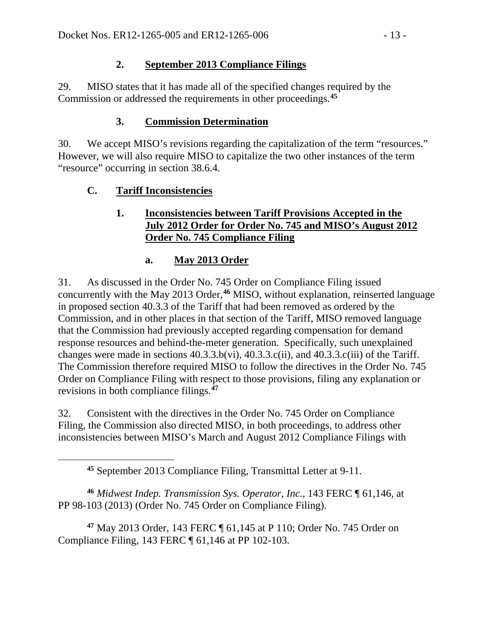### **2. September 2013 Compliance Filings**

29. MISO states that it has made all of the specified changes required by the Commission or addressed the requirements in other proceedings. **[45](#page-12-0)**

# **3. Commission Determination**

30. We accept MISO's revisions regarding the capitalization of the term "resources." However, we will also require MISO to capitalize the two other instances of the term "resource" occurring in section 38.6.4.

# **C. Tariff Inconsistencies**

<span id="page-12-0"></span> $\overline{a}$ 

### **1. Inconsistencies between Tariff Provisions Accepted in the July 2012 Order for Order No. 745 and MISO's August 2012 Order No. 745 Compliance Filing**

# **a. May 2013 Order**

31. As discussed in the Order No. 745 Order on Compliance Filing issued concurrently with the May 2013 Order, **[46](#page-12-1)** MISO, without explanation, reinserted language in proposed section 40.3.3 of the Tariff that had been removed as ordered by the Commission, and in other places in that section of the Tariff, MISO removed language that the Commission had previously accepted regarding compensation for demand response resources and behind-the-meter generation. Specifically, such unexplained changes were made in sections 40.3.3.b(vi), 40.3.3.c(ii), and 40.3.3.c(iii) of the Tariff. The Commission therefore required MISO to follow the directives in the Order No. 745 Order on Compliance Filing with respect to those provisions, filing any explanation or revisions in both compliance filings.**[47](#page-12-2)**

32. Consistent with the directives in the Order No. 745 Order on Compliance Filing, the Commission also directed MISO, in both proceedings, to address other inconsistencies between MISO's March and August 2012 Compliance Filings with

<span id="page-12-1"></span>**<sup>46</sup>** *Midwest Indep. Transmission Sys. Operator, Inc.*, 143 FERC ¶ 61,146, at PP 98-103 (2013) (Order No. 745 Order on Compliance Filing).

<span id="page-12-2"></span>**<sup>47</sup>** May 2013 Order, 143 FERC ¶ 61,145 at P 110; Order No. 745 Order on Compliance Filing, 143 FERC ¶ 61,146 at PP 102-103.

**<sup>45</sup>** September 2013 Compliance Filing, Transmittal Letter at 9-11.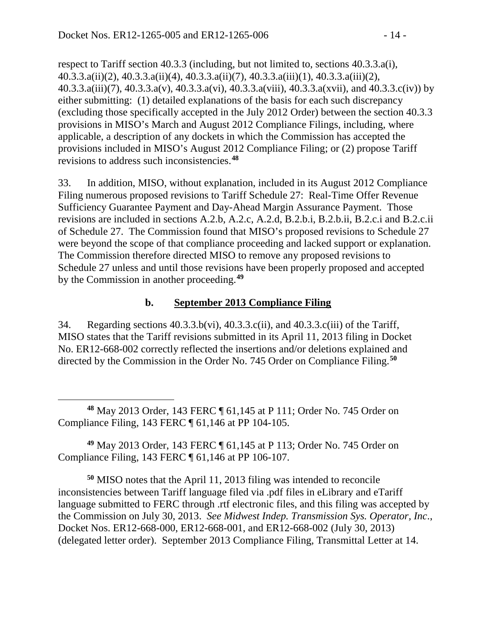respect to Tariff section 40.3.3 (including, but not limited to, sections 40.3.3.a(i), 40.3.3.a(ii)(2), 40.3.3.a(ii)(4), 40.3.3.a(ii)(7), 40.3.3.a(iii)(1), 40.3.3.a(iii)(2), 40.3.3.a(iii)(7), 40.3.3.a(v), 40.3.3.a(vi), 40.3.3.a(viii), 40.3.3.a(xvii), and 40.3.3.c(iv)) by either submitting: (1) detailed explanations of the basis for each such discrepancy (excluding those specifically accepted in the July 2012 Order) between the section 40.3.3 provisions in MISO's March and August 2012 Compliance Filings, including, where applicable, a description of any dockets in which the Commission has accepted the provisions included in MISO's August 2012 Compliance Filing; or (2) propose Tariff revisions to address such inconsistencies.**[48](#page-13-0)**

33. In addition, MISO, without explanation, included in its August 2012 Compliance Filing numerous proposed revisions to Tariff Schedule 27: Real-Time Offer Revenue Sufficiency Guarantee Payment and Day-Ahead Margin Assurance Payment. Those revisions are included in sections A.2.b, A.2.c, A.2.d, B.2.b.i, B.2.b.ii, B.2.c.i and B.2.c.ii of Schedule 27. The Commission found that MISO's proposed revisions to Schedule 27 were beyond the scope of that compliance proceeding and lacked support or explanation. The Commission therefore directed MISO to remove any proposed revisions to Schedule 27 unless and until those revisions have been properly proposed and accepted by the Commission in another proceeding.**[49](#page-13-1)**

### **b. September 2013 Compliance Filing**

34. Regarding sections 40.3.3.b(vi), 40.3.3.c(ii), and 40.3.3.c(iii) of the Tariff, MISO states that the Tariff revisions submitted in its April 11, 2013 filing in Docket No. ER12-668-002 correctly reflected the insertions and/or deletions explained and directed by the Commission in the Order No. 745 Order on Compliance Filing. **[50](#page-13-2)**

<span id="page-13-0"></span> $\overline{a}$ **<sup>48</sup>** May 2013 Order, 143 FERC ¶ 61,145 at P 111; Order No. 745 Order on Compliance Filing, 143 FERC ¶ 61,146 at PP 104-105.

<span id="page-13-1"></span>**<sup>49</sup>** May 2013 Order, 143 FERC ¶ 61,145 at P 113; Order No. 745 Order on Compliance Filing, 143 FERC ¶ 61,146 at PP 106-107.

<span id="page-13-2"></span>**<sup>50</sup>** MISO notes that the April 11, 2013 filing was intended to reconcile inconsistencies between Tariff language filed via .pdf files in eLibrary and eTariff language submitted to FERC through .rtf electronic files, and this filing was accepted by the Commission on July 30, 2013. *See Midwest Indep. Transmission Sys. Operator, Inc*., Docket Nos. ER12-668-000, ER12-668-001, and ER12-668-002 (July 30, 2013) (delegated letter order). September 2013 Compliance Filing, Transmittal Letter at 14.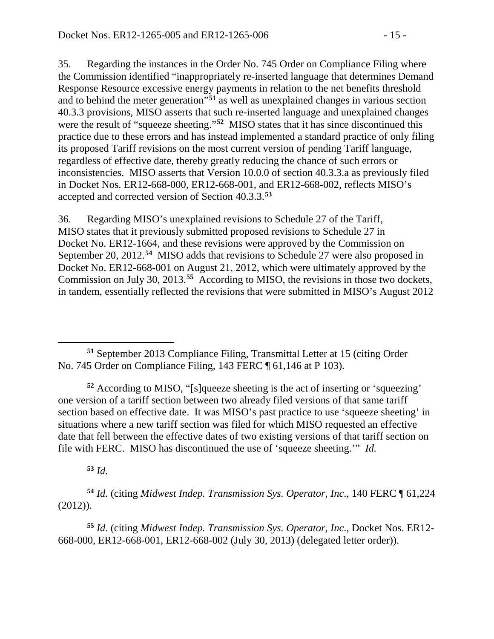35. Regarding the instances in the Order No. 745 Order on Compliance Filing where the Commission identified "inappropriately re-inserted language that determines Demand Response Resource excessive energy payments in relation to the net benefits threshold and to behind the meter generation"**[51](#page-14-0)** as well as unexplained changes in various section 40.3.3 provisions, MISO asserts that such re-inserted language and unexplained changes were the result of "squeeze sheeting."**[52](#page-14-1)** MISO states that it has since discontinued this practice due to these errors and has instead implemented a standard practice of only filing its proposed Tariff revisions on the most current version of pending Tariff language, regardless of effective date, thereby greatly reducing the chance of such errors or inconsistencies. MISO asserts that Version 10.0.0 of section 40.3.3.a as previously filed in Docket Nos. ER12-668-000, ER12-668-001, and ER12-668-002, reflects MISO's accepted and corrected version of Section 40.3.3.**[53](#page-14-2)**

36. Regarding MISO's unexplained revisions to Schedule 27 of the Tariff, MISO states that it previously submitted proposed revisions to Schedule 27 in Docket No. ER12-1664, and these revisions were approved by the Commission on September 20, 2012.**[54](#page-14-3)** MISO adds that revisions to Schedule 27 were also proposed in Docket No. ER12-668-001 on August 21, 2012, which were ultimately approved by the Commission on July 30, 2013.**[55](#page-14-4)** According to MISO, the revisions in those two dockets, in tandem, essentially reflected the revisions that were submitted in MISO's August 2012

<span id="page-14-1"></span>**<sup>52</sup>** According to MISO, "[s]queeze sheeting is the act of inserting or 'squeezing' one version of a tariff section between two already filed versions of that same tariff section based on effective date. It was MISO's past practice to use 'squeeze sheeting' in situations where a new tariff section was filed for which MISO requested an effective date that fell between the effective dates of two existing versions of that tariff section on file with FERC. MISO has discontinued the use of 'squeeze sheeting.'" *Id.*

**<sup>53</sup>** *Id.*

<span id="page-14-3"></span><span id="page-14-2"></span>**<sup>54</sup>** *Id.* (citing *Midwest Indep. Transmission Sys. Operator, Inc*., 140 FERC ¶ 61,224 (2012)).

<span id="page-14-4"></span>**<sup>55</sup>** *Id.* (citing *Midwest Indep. Transmission Sys. Operator, Inc*., Docket Nos. ER12- 668-000, ER12-668-001, ER12-668-002 (July 30, 2013) (delegated letter order)).

<span id="page-14-0"></span> $\overline{a}$ **<sup>51</sup>** September 2013 Compliance Filing, Transmittal Letter at 15 (citing Order No. 745 Order on Compliance Filing, 143 FERC ¶ 61,146 at P 103).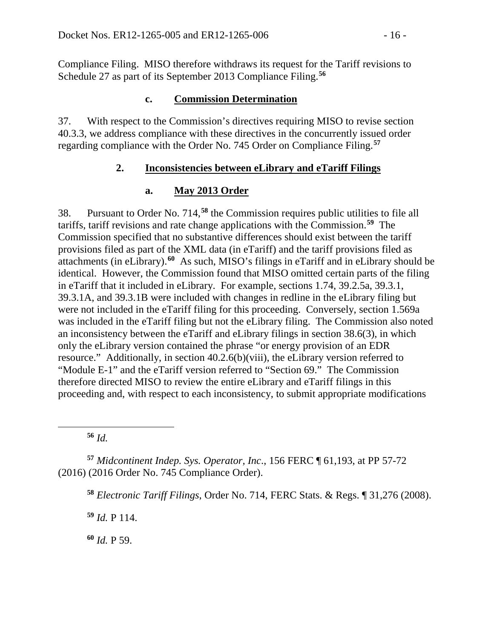Compliance Filing. MISO therefore withdraws its request for the Tariff revisions to Schedule 27 as part of its September 2013 Compliance Filing. **[56](#page-15-0)**

#### **c. Commission Determination**

37. With respect to the Commission's directives requiring MISO to revise section 40.3.3, we address compliance with these directives in the concurrently issued order regarding compliance with the Order No. 745 Order on Compliance Filing.**[57](#page-15-1)**

#### **2. Inconsistencies between eLibrary and eTariff Filings**

### **a. May 2013 Order**

38. Pursuant to Order No. 714,**[58](#page-15-2)** the Commission requires public utilities to file all tariffs, tariff revisions and rate change applications with the Commission.**[59](#page-15-3)** The Commission specified that no substantive differences should exist between the tariff provisions filed as part of the XML data (in eTariff) and the tariff provisions filed as attachments (in eLibrary).**[60](#page-15-4)** As such, MISO's filings in eTariff and in eLibrary should be identical. However, the Commission found that MISO omitted certain parts of the filing in eTariff that it included in eLibrary. For example, sections 1.74, 39.2.5a, 39.3.1, 39.3.1A, and 39.3.1B were included with changes in redline in the eLibrary filing but were not included in the eTariff filing for this proceeding. Conversely, section 1.569a was included in the eTariff filing but not the eLibrary filing. The Commission also noted an inconsistency between the eTariff and eLibrary filings in section 38.6(3), in which only the eLibrary version contained the phrase "or energy provision of an EDR resource." Additionally, in section 40.2.6(b)(viii), the eLibrary version referred to "Module E-1" and the eTariff version referred to "Section 69." The Commission therefore directed MISO to review the entire eLibrary and eTariff filings in this proceeding and, with respect to each inconsistency, to submit appropriate modifications

**<sup>56</sup>** *Id.*

<span id="page-15-0"></span> $\overline{a}$ 

<span id="page-15-3"></span><span id="page-15-2"></span><span id="page-15-1"></span>**<sup>57</sup>** *Midcontinent Indep. Sys. Operator, Inc*., 156 FERC ¶ 61,193, at PP 57-72 (2016) (2016 Order No. 745 Compliance Order).

**<sup>58</sup>** *Electronic Tariff Filings*, Order No. 714, FERC Stats. & Regs. ¶ 31,276 (2008).

**<sup>59</sup>** *Id.* P 114.

<span id="page-15-4"></span>**<sup>60</sup>** *Id.* P 59.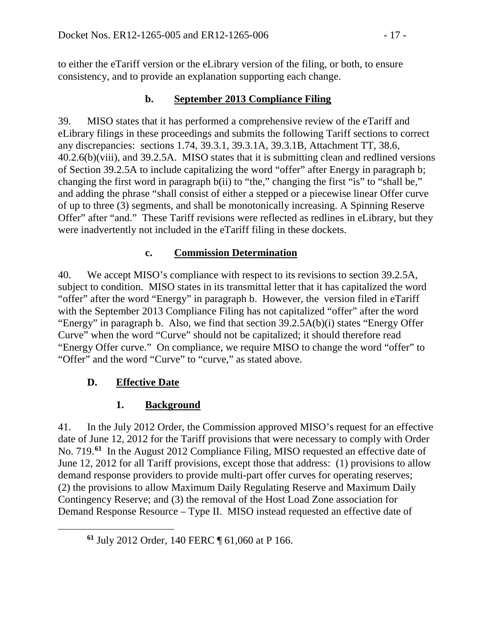to either the eTariff version or the eLibrary version of the filing, or both, to ensure consistency, and to provide an explanation supporting each change.

### **b. September 2013 Compliance Filing**

39. MISO states that it has performed a comprehensive review of the eTariff and eLibrary filings in these proceedings and submits the following Tariff sections to correct any discrepancies: sections 1.74, 39.3.1, 39.3.1A, 39.3.1B, Attachment TT, 38.6, 40.2.6(b)(viii), and 39.2.5A. MISO states that it is submitting clean and redlined versions of Section 39.2.5A to include capitalizing the word "offer" after Energy in paragraph b; changing the first word in paragraph b(ii) to "the," changing the first "is" to "shall be," and adding the phrase "shall consist of either a stepped or a piecewise linear Offer curve of up to three (3) segments, and shall be monotonically increasing. A Spinning Reserve Offer" after "and." These Tariff revisions were reflected as redlines in eLibrary, but they were inadvertently not included in the eTariff filing in these dockets.

### **c. Commission Determination**

40. We accept MISO's compliance with respect to its revisions to section 39.2.5A, subject to condition. MISO states in its transmittal letter that it has capitalized the word "offer" after the word "Energy" in paragraph b. However, the version filed in eTariff with the September 2013 Compliance Filing has not capitalized "offer" after the word "Energy" in paragraph b. Also, we find that section 39.2.5A(b)(i) states "Energy Offer Curve" when the word "Curve" should not be capitalized; it should therefore read "Energy Offer curve." On compliance, we require MISO to change the word "offer" to "Offer" and the word "Curve" to "curve," as stated above.

# **D. Effective Date**

<span id="page-16-0"></span> $\overline{a}$ 

# **1. Background**

41. In the July 2012 Order, the Commission approved MISO's request for an effective date of June 12, 2012 for the Tariff provisions that were necessary to comply with Order No. 719.**[61](#page-16-0)** In the August 2012 Compliance Filing, MISO requested an effective date of June 12, 2012 for all Tariff provisions, except those that address: (1) provisions to allow demand response providers to provide multi-part offer curves for operating reserves; (2) the provisions to allow Maximum Daily Regulating Reserve and Maximum Daily Contingency Reserve; and (3) the removal of the Host Load Zone association for Demand Response Resource – Type II. MISO instead requested an effective date of

**<sup>61</sup>** July 2012 Order, 140 FERC ¶ 61,060 at P 166.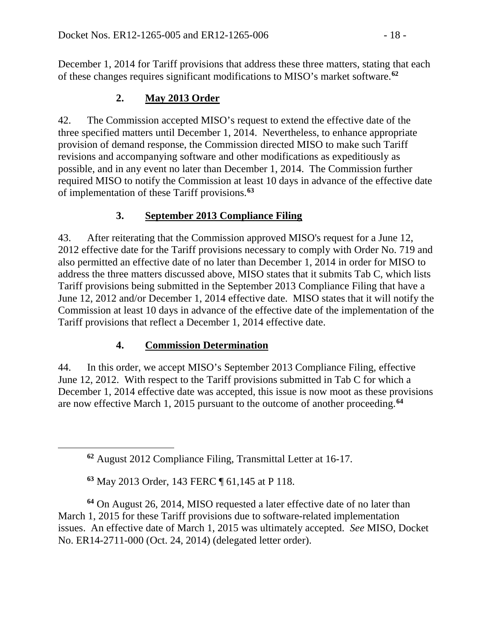December 1, 2014 for Tariff provisions that address these three matters, stating that each of these changes requires significant modifications to MISO's market software. **[62](#page-17-0)**

# **2. May 2013 Order**

42. The Commission accepted MISO's request to extend the effective date of the three specified matters until December 1, 2014. Nevertheless, to enhance appropriate provision of demand response, the Commission directed MISO to make such Tariff revisions and accompanying software and other modifications as expeditiously as possible, and in any event no later than December 1, 2014. The Commission further required MISO to notify the Commission at least 10 days in advance of the effective date of implementation of these Tariff provisions.**[63](#page-17-1)**

# **3. September 2013 Compliance Filing**

43. After reiterating that the Commission approved MISO's request for a June 12, 2012 effective date for the Tariff provisions necessary to comply with Order No. 719 and also permitted an effective date of no later than December 1, 2014 in order for MISO to address the three matters discussed above, MISO states that it submits Tab C, which lists Tariff provisions being submitted in the September 2013 Compliance Filing that have a June 12, 2012 and/or December 1, 2014 effective date. MISO states that it will notify the Commission at least 10 days in advance of the effective date of the implementation of the Tariff provisions that reflect a December 1, 2014 effective date.

# **4. Commission Determination**

44. In this order, we accept MISO's September 2013 Compliance Filing, effective June 12, 2012. With respect to the Tariff provisions submitted in Tab C for which a December 1, 2014 effective date was accepted, this issue is now moot as these provisions are now effective March 1, 2015 pursuant to the outcome of another proceeding.**[64](#page-17-2)**

**<sup>63</sup>** May 2013 Order, 143 FERC ¶ 61,145 at P 118.

<span id="page-17-0"></span> $\overline{a}$ 

<span id="page-17-2"></span><span id="page-17-1"></span>**<sup>64</sup>** On August 26, 2014, MISO requested a later effective date of no later than March 1, 2015 for these Tariff provisions due to software-related implementation issues. An effective date of March 1, 2015 was ultimately accepted. *See* MISO, Docket No. ER14-2711-000 (Oct. 24, 2014) (delegated letter order).

**<sup>62</sup>** August 2012 Compliance Filing, Transmittal Letter at 16-17.